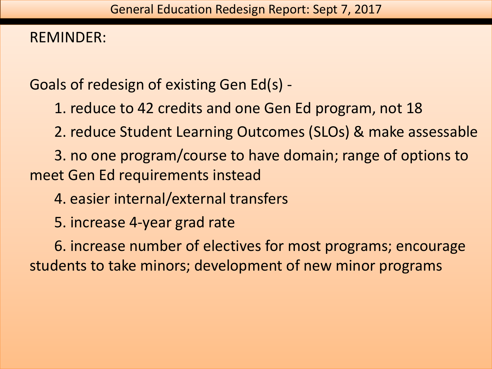## REMINDER:

Goals of redesign of existing Gen Ed(s) -

1. reduce to 42 credits and one Gen Ed program, not 18

2. reduce Student Learning Outcomes (SLOs) & make assessable

3. no one program/course to have domain; range of options to meet Gen Ed requirements instead

4. easier internal/external transfers

5. increase 4-year grad rate

6. increase number of electives for most programs; encourage students to take minors; development of new minor programs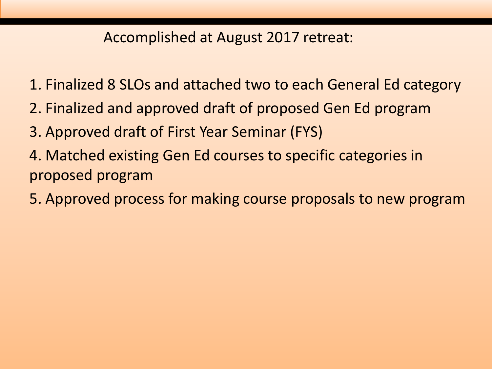## Accomplished at August 2017 retreat:

- 1. Finalized 8 SLOs and attached two to each General Ed category
- 2. Finalized and approved draft of proposed Gen Ed program
- 3. Approved draft of First Year Seminar (FYS)
- 4. Matched existing Gen Ed courses to specific categories in proposed program
- 5. Approved process for making course proposals to new program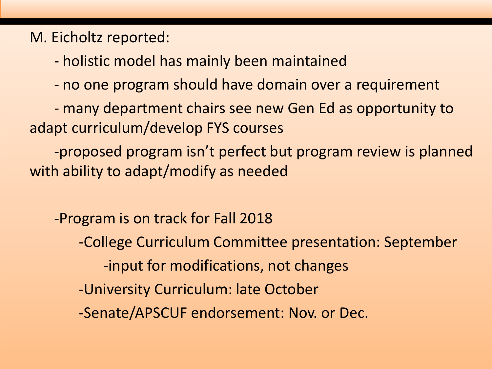## M. Eicholtz reported:

- holistic model has mainly been maintained
- no one program should have domain over a requirement
- many department chairs see new Gen Ed as opportunity to adapt curriculum/develop FYS courses

-proposed program isn't perfect but program review is planned with ability to adapt/modify as needed

-Program is on track for Fall 2018

- -College Curriculum Committee presentation: September
	- -input for modifications, not changes
- -University Curriculum: late October
- -Senate/APSCUF endorsement: Nov. or Dec.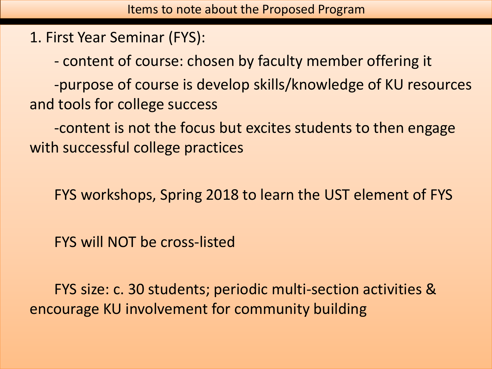1. First Year Seminar (FYS):

- content of course: chosen by faculty member offering it

-purpose of course is develop skills/knowledge of KU resources and tools for college success

-content is not the focus but excites students to then engage with successful college practices

FYS workshops, Spring 2018 to learn the UST element of FYS

FYS will NOT be cross-listed

FYS size: c. 30 students; periodic multi-section activities & encourage KU involvement for community building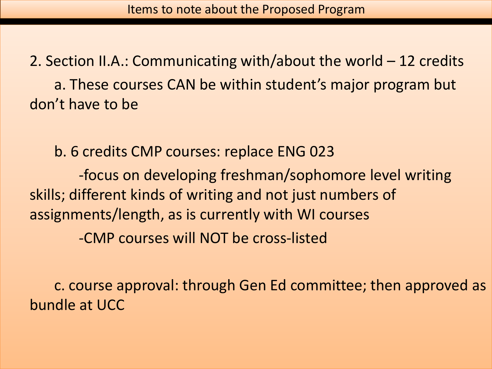2. Section II.A.: Communicating with/about the world – 12 credits a. These courses CAN be within student's major program but don't have to be

b. 6 credits CMP courses: replace ENG 023

-focus on developing freshman/sophomore level writing skills; different kinds of writing and not just numbers of assignments/length, as is currently with WI courses -CMP courses will NOT be cross-listed

c. course approval: through Gen Ed committee; then approved as bundle at UCC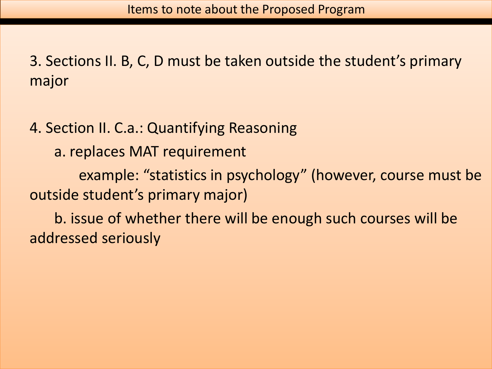3. Sections II. B, C, D must be taken outside the student's primary major

4. Section II. C.a.: Quantifying Reasoning

a. replaces MAT requirement

example: "statistics in psychology" (however, course must be outside student's primary major)

b. issue of whether there will be enough such courses will be addressed seriously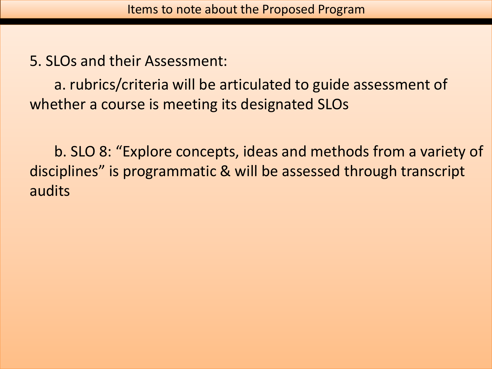5. SLOs and their Assessment:

a. rubrics/criteria will be articulated to guide assessment of whether a course is meeting its designated SLOs

b. SLO 8: "Explore concepts, ideas and methods from a variety of disciplines" is programmatic & will be assessed through transcript audits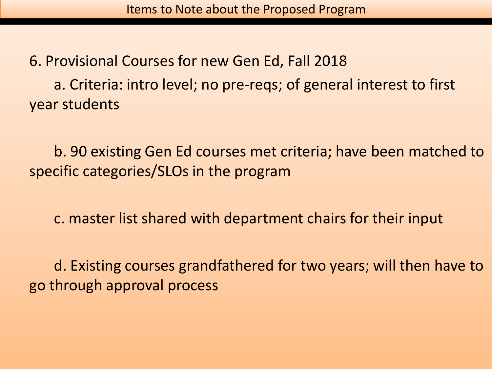6. Provisional Courses for new Gen Ed, Fall 2018 a. Criteria: intro level; no pre-reqs; of general interest to first year students

b. 90 existing Gen Ed courses met criteria; have been matched to specific categories/SLOs in the program

c. master list shared with department chairs for their input

d. Existing courses grandfathered for two years; will then have to go through approval process